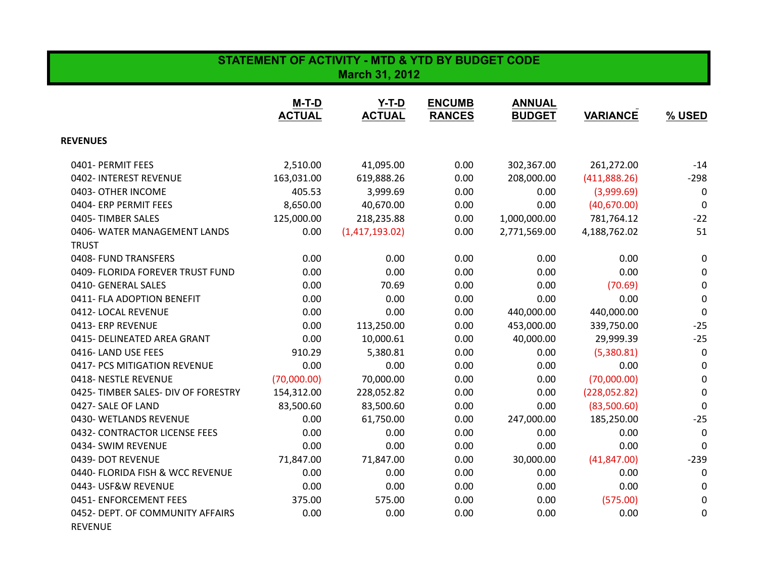| <b>STATEMENT OF ACTIVITY - MTD &amp; YTD BY BUDGET CODE</b><br><b>March 31, 2012</b> |                        |                          |                                |                                |                 |             |  |
|--------------------------------------------------------------------------------------|------------------------|--------------------------|--------------------------------|--------------------------------|-----------------|-------------|--|
|                                                                                      | M-T-D<br><b>ACTUAL</b> | $Y-T-D$<br><b>ACTUAL</b> | <b>ENCUMB</b><br><b>RANCES</b> | <b>ANNUAL</b><br><b>BUDGET</b> | <b>VARIANCE</b> | % USED      |  |
| <b>REVENUES</b>                                                                      |                        |                          |                                |                                |                 |             |  |
| 0401- PERMIT FEES                                                                    | 2,510.00               | 41,095.00                | 0.00                           | 302,367.00                     | 261,272.00      | $-14$       |  |
| 0402- INTEREST REVENUE                                                               | 163,031.00             | 619,888.26               | 0.00                           | 208,000.00                     | (411,888.26)    | $-298$      |  |
| 0403- OTHER INCOME                                                                   | 405.53                 | 3,999.69                 | 0.00                           | 0.00                           | (3,999.69)      | 0           |  |
| 0404- ERP PERMIT FEES                                                                | 8,650.00               | 40,670.00                | 0.00                           | 0.00                           | (40,670.00)     | $\mathbf 0$ |  |
| 0405-TIMBER SALES                                                                    | 125,000.00             | 218,235.88               | 0.00                           | 1,000,000.00                   | 781,764.12      | $-22$       |  |
| 0406-WATER MANAGEMENT LANDS                                                          | 0.00                   | (1,417,193.02)           | 0.00                           | 2,771,569.00                   | 4,188,762.02    | 51          |  |
| <b>TRUST</b>                                                                         |                        |                          |                                |                                |                 |             |  |
| 0408- FUND TRANSFERS                                                                 | 0.00                   | 0.00                     | 0.00                           | 0.00                           | 0.00            | 0           |  |
| 0409- FLORIDA FOREVER TRUST FUND                                                     | 0.00                   | 0.00                     | 0.00                           | 0.00                           | 0.00            | $\pmb{0}$   |  |
| 0410- GENERAL SALES                                                                  | 0.00                   | 70.69                    | 0.00                           | 0.00                           | (70.69)         | $\mathbf 0$ |  |
| 0411- FLA ADOPTION BENEFIT                                                           | 0.00                   | 0.00                     | 0.00                           | 0.00                           | 0.00            | $\mathbf 0$ |  |
| 0412-LOCAL REVENUE                                                                   | 0.00                   | 0.00                     | 0.00                           | 440,000.00                     | 440,000.00      | $\mathbf 0$ |  |
| 0413- ERP REVENUE                                                                    | 0.00                   | 113,250.00               | 0.00                           | 453,000.00                     | 339,750.00      | $-25$       |  |
| 0415- DELINEATED AREA GRANT                                                          | 0.00                   | 10,000.61                | 0.00                           | 40,000.00                      | 29,999.39       | $-25$       |  |
| 0416-LAND USE FEES                                                                   | 910.29                 | 5,380.81                 | 0.00                           | 0.00                           | (5,380.81)      | $\mathbf 0$ |  |
| 0417- PCS MITIGATION REVENUE                                                         | 0.00                   | 0.00                     | 0.00                           | 0.00                           | 0.00            | 0           |  |
| 0418- NESTLE REVENUE                                                                 | (70,000.00)            | 70,000.00                | 0.00                           | 0.00                           | (70,000.00)     | 0           |  |
| 0425-TIMBER SALES- DIV OF FORESTRY                                                   | 154,312.00             | 228,052.82               | 0.00                           | 0.00                           | (228,052.82)    | $\mathbf 0$ |  |
| 0427- SALE OF LAND                                                                   | 83,500.60              | 83,500.60                | 0.00                           | 0.00                           | (83,500.60)     | $\mathbf 0$ |  |
| 0430- WETLANDS REVENUE                                                               | 0.00                   | 61,750.00                | 0.00                           | 247,000.00                     | 185,250.00      | $-25$       |  |
| 0432- CONTRACTOR LICENSE FEES                                                        | 0.00                   | 0.00                     | 0.00                           | 0.00                           | 0.00            | $\mathbf 0$ |  |
| 0434- SWIM REVENUE                                                                   | 0.00                   | 0.00                     | 0.00                           | 0.00                           | 0.00            | $\Omega$    |  |
| 0439- DOT REVENUE                                                                    | 71,847.00              | 71,847.00                | 0.00                           | 30,000.00                      | (41, 847.00)    | $-239$      |  |
| 0440- FLORIDA FISH & WCC REVENUE                                                     | 0.00                   | 0.00                     | 0.00                           | 0.00                           | 0.00            | 0           |  |
| 0443- USF&W REVENUE                                                                  | 0.00                   | 0.00                     | 0.00                           | 0.00                           | 0.00            | 0           |  |
| 0451- ENFORCEMENT FEES                                                               | 375.00                 | 575.00                   | 0.00                           | 0.00                           | (575.00)        | 0           |  |
| 0452- DEPT. OF COMMUNITY AFFAIRS<br><b>REVENUE</b>                                   | 0.00                   | 0.00                     | 0.00                           | 0.00                           | 0.00            | 0           |  |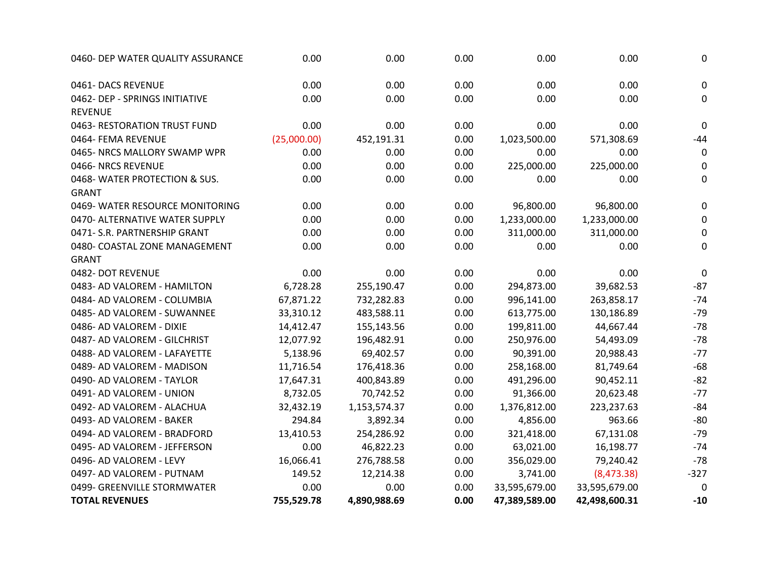| 0460- DEP WATER QUALITY ASSURANCE | 0.00        | 0.00         | 0.00 | 0.00          | 0.00          | $\mathbf 0$ |
|-----------------------------------|-------------|--------------|------|---------------|---------------|-------------|
| 0461-DACS REVENUE                 | 0.00        | 0.00         | 0.00 | 0.00          | 0.00          | $\mathbf 0$ |
| 0462- DEP - SPRINGS INITIATIVE    | 0.00        | 0.00         | 0.00 | 0.00          | 0.00          | 0           |
| <b>REVENUE</b>                    |             |              |      |               |               |             |
| 0463- RESTORATION TRUST FUND      | 0.00        | 0.00         | 0.00 | 0.00          | 0.00          | $\pmb{0}$   |
| 0464- FEMA REVENUE                | (25,000.00) | 452,191.31   | 0.00 | 1,023,500.00  | 571,308.69    | $-44$       |
| 0465- NRCS MALLORY SWAMP WPR      | 0.00        | 0.00         | 0.00 | 0.00          | 0.00          | 0           |
| 0466-NRCS REVENUE                 | 0.00        | 0.00         | 0.00 | 225,000.00    | 225,000.00    | 0           |
| 0468-WATER PROTECTION & SUS.      | 0.00        | 0.00         | 0.00 | 0.00          | 0.00          | $\mathbf 0$ |
| <b>GRANT</b>                      |             |              |      |               |               |             |
| 0469- WATER RESOURCE MONITORING   | 0.00        | 0.00         | 0.00 | 96,800.00     | 96,800.00     | 0           |
| 0470- ALTERNATIVE WATER SUPPLY    | 0.00        | 0.00         | 0.00 | 1,233,000.00  | 1,233,000.00  | 0           |
| 0471- S.R. PARTNERSHIP GRANT      | 0.00        | 0.00         | 0.00 | 311,000.00    | 311,000.00    | 0           |
| 0480- COASTAL ZONE MANAGEMENT     | 0.00        | 0.00         | 0.00 | 0.00          | 0.00          | $\mathbf 0$ |
| <b>GRANT</b>                      |             |              |      |               |               |             |
| 0482- DOT REVENUE                 | 0.00        | 0.00         | 0.00 | 0.00          | 0.00          | $\mathbf 0$ |
| 0483- AD VALOREM - HAMILTON       | 6,728.28    | 255,190.47   | 0.00 | 294,873.00    | 39,682.53     | $-87$       |
| 0484- AD VALOREM - COLUMBIA       | 67,871.22   | 732,282.83   | 0.00 | 996,141.00    | 263,858.17    | $-74$       |
| 0485- AD VALOREM - SUWANNEE       | 33,310.12   | 483,588.11   | 0.00 | 613,775.00    | 130,186.89    | $-79$       |
| 0486- AD VALOREM - DIXIE          | 14,412.47   | 155,143.56   | 0.00 | 199,811.00    | 44,667.44     | $-78$       |
| 0487- AD VALOREM - GILCHRIST      | 12,077.92   | 196,482.91   | 0.00 | 250,976.00    | 54,493.09     | $-78$       |
| 0488- AD VALOREM - LAFAYETTE      | 5,138.96    | 69,402.57    | 0.00 | 90,391.00     | 20,988.43     | $-77$       |
| 0489- AD VALOREM - MADISON        | 11,716.54   | 176,418.36   | 0.00 | 258,168.00    | 81,749.64     | $-68$       |
| 0490- AD VALOREM - TAYLOR         | 17,647.31   | 400,843.89   | 0.00 | 491,296.00    | 90,452.11     | $-82$       |
| 0491- AD VALOREM - UNION          | 8,732.05    | 70,742.52    | 0.00 | 91,366.00     | 20,623.48     | $-77$       |
| 0492- AD VALOREM - ALACHUA        | 32,432.19   | 1,153,574.37 | 0.00 | 1,376,812.00  | 223,237.63    | $-84$       |
| 0493- AD VALOREM - BAKER          | 294.84      | 3,892.34     | 0.00 | 4,856.00      | 963.66        | $-80$       |
| 0494- AD VALOREM - BRADFORD       | 13,410.53   | 254,286.92   | 0.00 | 321,418.00    | 67,131.08     | $-79$       |
| 0495- AD VALOREM - JEFFERSON      | 0.00        | 46,822.23    | 0.00 | 63,021.00     | 16,198.77     | $-74$       |
| 0496- AD VALOREM - LEVY           | 16,066.41   | 276,788.58   | 0.00 | 356,029.00    | 79,240.42     | $-78$       |
| 0497- AD VALOREM - PUTNAM         | 149.52      | 12,214.38    | 0.00 | 3,741.00      | (8,473.38)    | $-327$      |
| 0499- GREENVILLE STORMWATER       | 0.00        | 0.00         | 0.00 | 33,595,679.00 | 33,595,679.00 | 0           |
| <b>TOTAL REVENUES</b>             | 755,529.78  | 4,890,988.69 | 0.00 | 47,389,589.00 | 42,498,600.31 | $-10$       |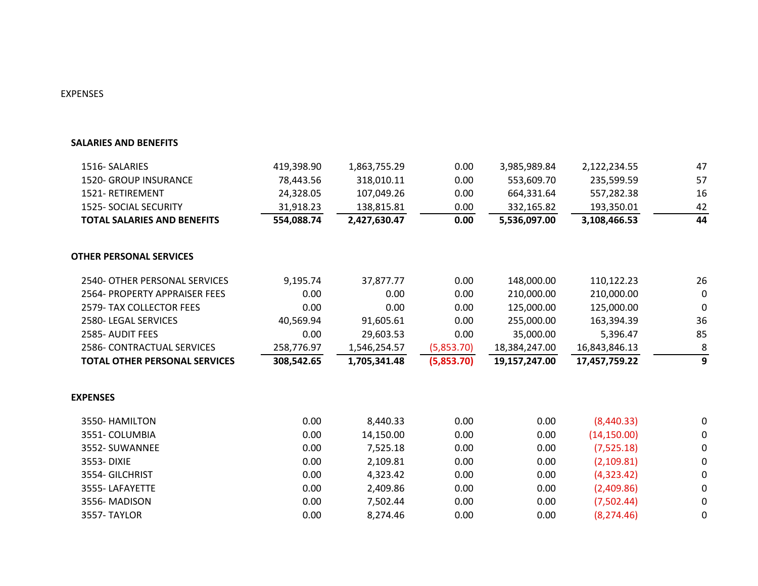## EXPENSES

## **SALARIES AND BENEFITS**

| 1516-SALARIES                        | 419,398.90 | 1,863,755.29 | 0.00       | 3,985,989.84  | 2,122,234.55  | 47          |
|--------------------------------------|------------|--------------|------------|---------------|---------------|-------------|
| 1520- GROUP INSURANCE                | 78,443.56  | 318,010.11   | 0.00       | 553,609.70    | 235,599.59    | 57          |
| 1521-RETIREMENT                      | 24,328.05  | 107,049.26   | 0.00       | 664,331.64    | 557,282.38    | 16          |
| 1525- SOCIAL SECURITY                | 31,918.23  | 138,815.81   | 0.00       | 332,165.82    | 193,350.01    | 42          |
| <b>TOTAL SALARIES AND BENEFITS</b>   | 554,088.74 | 2,427,630.47 | 0.00       | 5,536,097.00  | 3,108,466.53  | 44          |
| <b>OTHER PERSONAL SERVICES</b>       |            |              |            |               |               |             |
| 2540- OTHER PERSONAL SERVICES        | 9,195.74   | 37,877.77    | 0.00       | 148,000.00    | 110,122.23    | 26          |
| 2564- PROPERTY APPRAISER FEES        | 0.00       | 0.00         | 0.00       | 210,000.00    | 210,000.00    | $\mathbf 0$ |
| 2579- TAX COLLECTOR FEES             | 0.00       | 0.00         | 0.00       | 125,000.00    | 125,000.00    | 0           |
| 2580-LEGAL SERVICES                  | 40,569.94  | 91,605.61    | 0.00       | 255,000.00    | 163,394.39    | 36          |
| 2585- AUDIT FEES                     | 0.00       | 29,603.53    | 0.00       | 35,000.00     | 5,396.47      | 85          |
| 2586- CONTRACTUAL SERVICES           | 258,776.97 | 1,546,254.57 | (5,853.70) | 18,384,247.00 | 16,843,846.13 | 8           |
| <b>TOTAL OTHER PERSONAL SERVICES</b> | 308,542.65 | 1,705,341.48 | (5,853.70) | 19,157,247.00 | 17,457,759.22 | 9           |
| <b>EXPENSES</b>                      |            |              |            |               |               |             |
| 3550- HAMILTON                       | 0.00       | 8,440.33     | 0.00       | 0.00          | (8,440.33)    | 0           |
| 3551- COLUMBIA                       | 0.00       | 14,150.00    | 0.00       | 0.00          | (14, 150.00)  | 0           |
| 3552- SUWANNEE                       | 0.00       | 7,525.18     | 0.00       | 0.00          | (7,525.18)    | 0           |
| 3553-DIXIE                           | 0.00       | 2,109.81     | 0.00       | 0.00          | (2,109.81)    | 0           |
| 3554-GILCHRIST                       | 0.00       | 4,323.42     | 0.00       | 0.00          | (4,323.42)    | 0           |
| 3555-LAFAYETTE                       | 0.00       | 2,409.86     | 0.00       | 0.00          | (2,409.86)    | 0           |
| 3556-MADISON                         | 0.00       | 7,502.44     | 0.00       | 0.00          | (7,502.44)    | 0           |
| 3557-TAYLOR                          | 0.00       | 8,274.46     | 0.00       | 0.00          | (8, 274.46)   | 0           |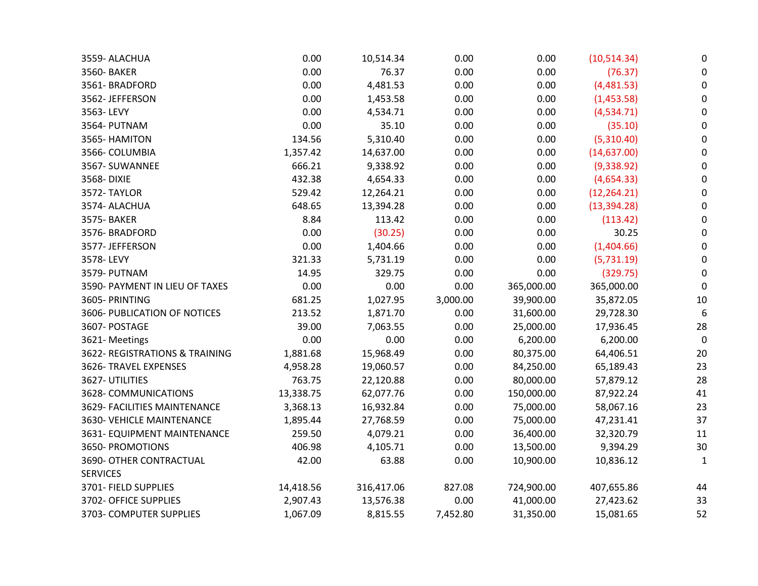| 0.00      | 10,514.34  | 0.00     | 0.00       | (10, 514.34) | 0            |
|-----------|------------|----------|------------|--------------|--------------|
| 0.00      | 76.37      | 0.00     | 0.00       | (76.37)      | 0            |
| 0.00      | 4,481.53   | 0.00     | 0.00       | (4,481.53)   | 0            |
| 0.00      | 1,453.58   | 0.00     | 0.00       | (1,453.58)   | 0            |
| 0.00      | 4,534.71   | 0.00     | 0.00       | (4,534.71)   | 0            |
| 0.00      | 35.10      | 0.00     | 0.00       | (35.10)      | 0            |
| 134.56    | 5,310.40   | 0.00     | 0.00       | (5,310.40)   | $\Omega$     |
| 1,357.42  | 14,637.00  | 0.00     | 0.00       | (14, 637.00) | 0            |
| 666.21    | 9,338.92   | 0.00     | 0.00       | (9,338.92)   | 0            |
| 432.38    | 4,654.33   | 0.00     | 0.00       | (4,654.33)   | 0            |
| 529.42    | 12,264.21  | 0.00     | 0.00       | (12, 264.21) | 0            |
| 648.65    | 13,394.28  | 0.00     | 0.00       | (13, 394.28) | 0            |
| 8.84      | 113.42     | 0.00     | 0.00       | (113.42)     | 0            |
| 0.00      | (30.25)    | 0.00     | 0.00       | 30.25        | $\Omega$     |
| 0.00      | 1,404.66   | 0.00     | 0.00       | (1,404.66)   | 0            |
| 321.33    | 5,731.19   | 0.00     | 0.00       | (5,731.19)   | $\Omega$     |
| 14.95     | 329.75     | 0.00     | 0.00       | (329.75)     | $\Omega$     |
| 0.00      | 0.00       | 0.00     | 365,000.00 | 365,000.00   | 0            |
| 681.25    | 1,027.95   | 3,000.00 | 39,900.00  | 35,872.05    | 10           |
| 213.52    | 1,871.70   | 0.00     | 31,600.00  | 29,728.30    | 6            |
| 39.00     | 7,063.55   | 0.00     | 25,000.00  | 17,936.45    | 28           |
| 0.00      | 0.00       | 0.00     | 6,200.00   | 6,200.00     | 0            |
| 1,881.68  | 15,968.49  | 0.00     | 80,375.00  | 64,406.51    | 20           |
| 4,958.28  | 19,060.57  | 0.00     | 84,250.00  | 65,189.43    | 23           |
| 763.75    | 22,120.88  | 0.00     | 80,000.00  | 57,879.12    | 28           |
| 13,338.75 | 62,077.76  | 0.00     | 150,000.00 | 87,922.24    | 41           |
| 3,368.13  | 16,932.84  | 0.00     | 75,000.00  | 58,067.16    | 23           |
| 1,895.44  | 27,768.59  | 0.00     | 75,000.00  | 47,231.41    | 37           |
| 259.50    | 4,079.21   | 0.00     | 36,400.00  | 32,320.79    | 11           |
| 406.98    | 4,105.71   | 0.00     | 13,500.00  | 9,394.29     | 30           |
| 42.00     | 63.88      | 0.00     | 10,900.00  | 10,836.12    | $\mathbf{1}$ |
|           |            |          |            |              |              |
| 14,418.56 | 316,417.06 | 827.08   | 724,900.00 | 407,655.86   | 44           |
| 2,907.43  | 13,576.38  | 0.00     | 41,000.00  | 27,423.62    | 33           |
| 1,067.09  | 8,815.55   | 7,452.80 | 31,350.00  | 15,081.65    | 52           |
|           |            |          |            |              |              |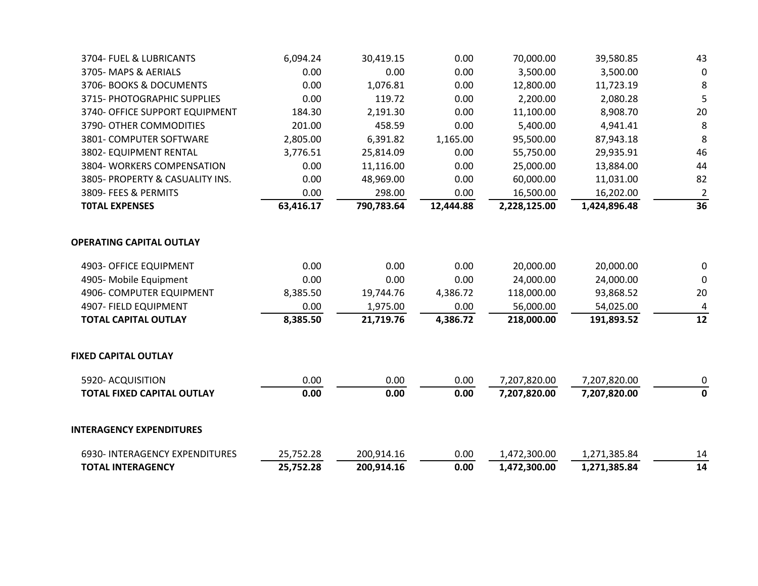| 3705-MAPS & AERIALS                           | 0.00              | 0.00                 | 0.00              | 3,500.00                  | 3,500.00                  | $\mathbf 0$          |
|-----------------------------------------------|-------------------|----------------------|-------------------|---------------------------|---------------------------|----------------------|
| 3706- BOOKS & DOCUMENTS                       | 0.00              | 1,076.81             | 0.00              | 12,800.00                 | 11,723.19                 | 8                    |
| 3715- PHOTOGRAPHIC SUPPLIES                   | 0.00              | 119.72               | 0.00              | 2,200.00                  | 2,080.28                  | 5                    |
| 3740- OFFICE SUPPORT EQUIPMENT                | 184.30            | 2,191.30             | 0.00              | 11,100.00                 | 8,908.70                  | 20                   |
| 3790- OTHER COMMODITIES                       | 201.00            | 458.59               | 0.00              | 5,400.00                  | 4,941.41                  | 8                    |
| 3801- COMPUTER SOFTWARE                       | 2,805.00          | 6,391.82             | 1,165.00          | 95,500.00                 | 87,943.18                 | 8                    |
| 3802- EQUIPMENT RENTAL                        | 3,776.51          | 25,814.09            | 0.00              | 55,750.00                 | 29,935.91                 | 46                   |
| 3804- WORKERS COMPENSATION                    | 0.00              | 11,116.00            | 0.00              | 25,000.00                 | 13,884.00                 | 44                   |
| 3805- PROPERTY & CASUALITY INS.               | 0.00              | 48,969.00            | 0.00              | 60,000.00                 | 11,031.00                 | 82                   |
| 3809- FEES & PERMITS<br><b>TOTAL EXPENSES</b> | 0.00<br>63,416.17 | 298.00<br>790,783.64 | 0.00<br>12,444.88 | 16,500.00<br>2,228,125.00 | 16,202.00<br>1,424,896.48 | $\overline{2}$<br>36 |
|                                               |                   |                      |                   |                           |                           |                      |
| <b>OPERATING CAPITAL OUTLAY</b>               |                   |                      |                   |                           |                           |                      |
| 4903- OFFICE EQUIPMENT                        | 0.00              | 0.00                 | 0.00              | 20,000.00                 | 20,000.00                 | 0                    |
| 4905- Mobile Equipment                        | 0.00              | 0.00                 | 0.00              | 24,000.00                 | 24,000.00                 | $\mathbf{0}$         |
| 4906- COMPUTER EQUIPMENT                      | 8,385.50          | 19,744.76            | 4,386.72          | 118,000.00                | 93,868.52                 | 20                   |
| 4907- FIELD EQUIPMENT                         | 0.00              | 1,975.00             | 0.00              | 56,000.00                 | 54,025.00                 | 4                    |
| <b>TOTAL CAPITAL OUTLAY</b>                   | 8,385.50          | 21,719.76            | 4,386.72          | 218,000.00                | 191,893.52                | 12                   |
| <b>FIXED CAPITAL OUTLAY</b>                   |                   |                      |                   |                           |                           |                      |
| 5920- ACQUISITION                             | 0.00              | 0.00                 | 0.00              | 7,207,820.00              | 7,207,820.00              | 0                    |
| <b>TOTAL FIXED CAPITAL OUTLAY</b>             | 0.00              | 0.00                 | 0.00              | 7,207,820.00              | 7,207,820.00              | $\mathbf 0$          |
| <b>INTERAGENCY EXPENDITURES</b>               |                   |                      |                   |                           |                           |                      |
| 6930- INTERAGENCY EXPENDITURES                | 25,752.28         | 200,914.16           | 0.00              | 1,472,300.00              | 1,271,385.84              | 14                   |
| <b>TOTAL INTERAGENCY</b>                      | 25,752.28         | 200,914.16           | 0.00              | 1,472,300.00              | 1,271,385.84              | 14                   |